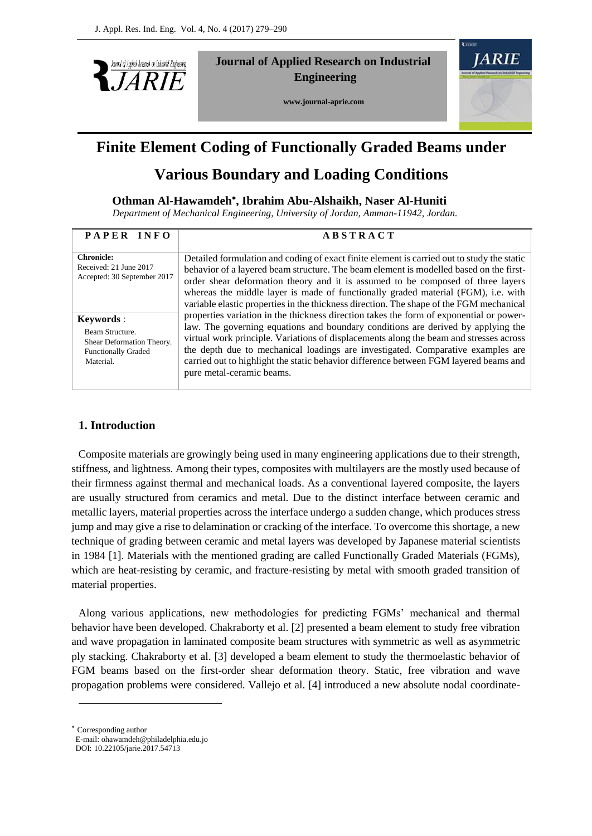

**Journal of Applied Research on Industrial Engineering**

 **www.journal-aprie.com**



# **Finite Element Coding of Functionally Graded Beams under**

# **Various Boundary and Loading Conditions**

## **Othman Al-Hawamdeh , Ibrahim Abu-Alshaikh, Naser Al-Huniti**

 *Department of Mechanical Engineering, University of Jordan, Amman-11942, Jordan.*

| PAPER INFO                                                                                                   | <b>ABSTRACT</b>                                                                                                                                                                                                                                                                                                                                                                                                                                                                                                                                                                                                                                                                                                                                                                                                                                                                                                                           |
|--------------------------------------------------------------------------------------------------------------|-------------------------------------------------------------------------------------------------------------------------------------------------------------------------------------------------------------------------------------------------------------------------------------------------------------------------------------------------------------------------------------------------------------------------------------------------------------------------------------------------------------------------------------------------------------------------------------------------------------------------------------------------------------------------------------------------------------------------------------------------------------------------------------------------------------------------------------------------------------------------------------------------------------------------------------------|
| <b>Chronicle:</b><br>Received: 21 June 2017<br>Accepted: 30 September 2017                                   | Detailed formulation and coding of exact finite element is carried out to study the static<br>behavior of a layered beam structure. The beam element is modelled based on the first-<br>order shear deformation theory and it is assumed to be composed of three layers<br>whereas the middle layer is made of functionally graded material (FGM), i.e. with<br>variable elastic properties in the thickness direction. The shape of the FGM mechanical<br>properties variation in the thickness direction takes the form of exponential or power-<br>law. The governing equations and boundary conditions are derived by applying the<br>virtual work principle. Variations of displacements along the beam and stresses across<br>the depth due to mechanical loadings are investigated. Comparative examples are<br>carried out to highlight the static behavior difference between FGM layered beams and<br>pure metal-ceramic beams. |
| <b>Keywords</b> :<br>Beam Structure.<br>Shear Deformation Theory.<br><b>Functionally Graded</b><br>Material. |                                                                                                                                                                                                                                                                                                                                                                                                                                                                                                                                                                                                                                                                                                                                                                                                                                                                                                                                           |

## **1. Introduction**

Composite materials are growingly being used in many engineering applications due to their strength, stiffness, and lightness. Among their types, composites with multilayers are the mostly used because of their firmness against thermal and mechanical loads. As a conventional layered composite, the layers are usually structured from ceramics and metal. Due to the distinct interface between ceramic and metallic layers, material properties across the interface undergo a sudden change, which produces stress jump and may give a rise to delamination or cracking of the interface. To overcome this shortage, a new technique of grading between ceramic and metal layers was developed by Japanese material scientists in 1984 [1]. Materials with the mentioned grading are called Functionally Graded Materials (FGMs), which are heat-resisting by ceramic, and fracture-resisting by metal with smooth graded transition of material properties.

Along various applications, new methodologies for predicting FGMs' mechanical and thermal behavior have been developed. Chakraborty et al. [2] presented a beam element to study free vibration and wave propagation in laminated composite beam structures with symmetric as well as asymmetric ply stacking. Chakraborty et al. [3] developed a beam element to study the thermoelastic behavior of FGM beams based on the first-order shear deformation theory. Static, free vibration and wave propagation problems were considered. Vallejo et al. [4] introduced a new absolute nodal coordinate-

Corresponding author

-

E-mail: ohawamdeh@philadelphia.edu.jo DOI: 10.22105/jarie.2017.54713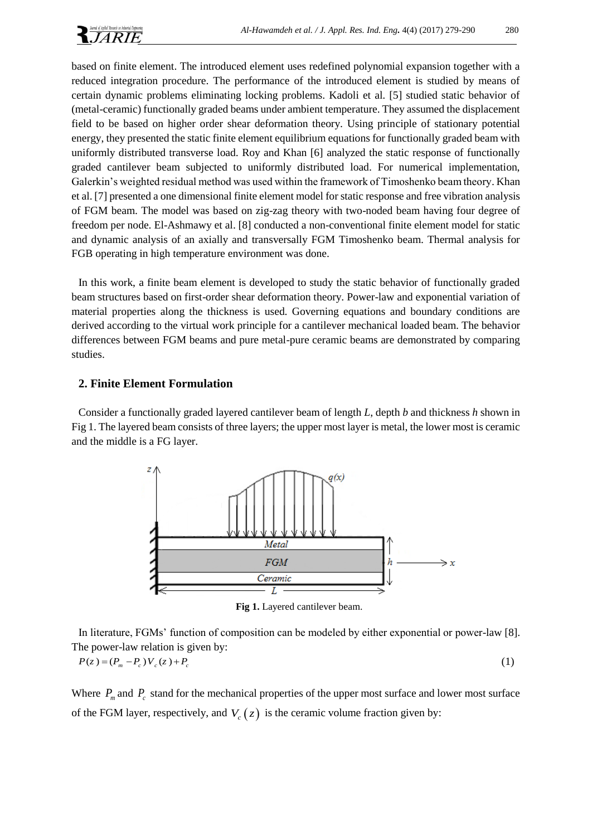based on finite element. The introduced element uses redefined polynomial expansion together with a reduced integration procedure. The performance of the introduced element is studied by means of certain dynamic problems eliminating locking problems. Kadoli et al. [5] studied static behavior of (metal-ceramic) functionally graded beams under ambient temperature. They assumed the displacement field to be based on higher order shear deformation theory. Using principle of stationary potential energy, they presented the static finite element equilibrium equations for functionally graded beam with uniformly distributed transverse load. Roy and Khan [6] analyzed the static response of functionally graded cantilever beam subjected to uniformly distributed load. For numerical implementation, Galerkin's weighted residual method was used within the framework of Timoshenko beam theory. Khan et al. [7] presented a one dimensional finite element model for static response and free vibration analysis of FGM beam. The model was based on zig-zag theory with two-noded beam having four degree of freedom per node. El-Ashmawy et al. [8] conducted a non-conventional finite element model for static and dynamic analysis of an axially and transversally FGM Timoshenko beam. Thermal analysis for FGB operating in high temperature environment was done.

In this work, a finite beam element is developed to study the static behavior of functionally graded beam structures based on first-order shear deformation theory. Power-law and exponential variation of material properties along the thickness is used. Governing equations and boundary conditions are derived according to the virtual work principle for a cantilever mechanical loaded beam. The behavior differences between FGM beams and pure metal-pure ceramic beams are demonstrated by comparing studies.

### **2. Finite Element Formulation**

Consider a functionally graded layered cantilever beam of length *L*, depth *b* and thickness *h* shown in Fig 1. The layered beam consists of three layers; the upper most layer is metal, the lower most is ceramic and the middle is a FG layer.



**Fig 1.** Layered cantilever beam.

In literature, FGMs' function of composition can be modeled by either exponential or power-law [8]. The power-law relation is given by:

$$
P(z) = (P_m - P_c)V_c(z) + P_c
$$
 (1)

Where  $P_m$  and  $P_c$  stand for the mechanical properties of the upper most surface and lower most surface of the FGM layer, respectively, and  $V_c(z)$  is the ceramic volume fraction given by: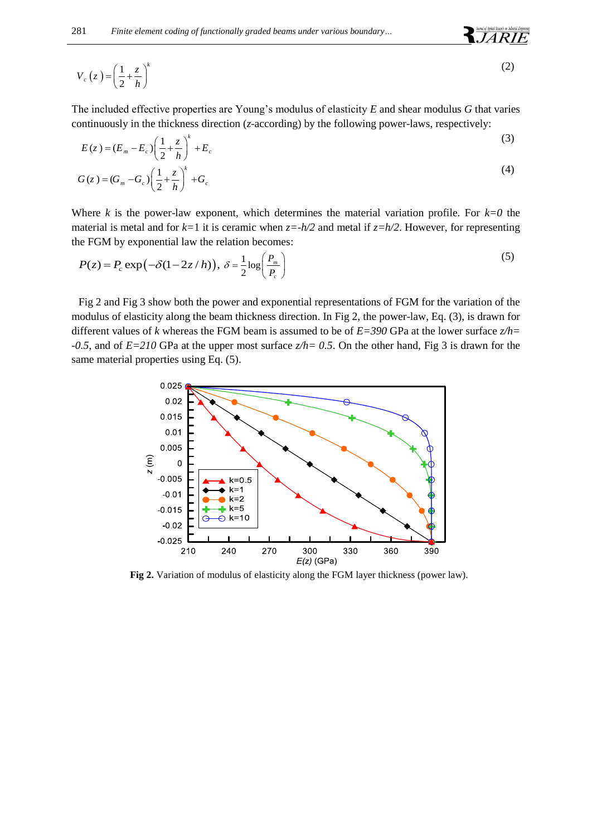$$
V_c(z) = \left(\frac{1}{2} + \frac{z}{h}\right)^k
$$
 (2)

**JARIE** 

The included effective properties are Young's modulus of elasticity *E* and shear modulus *G* that varies continuously in the thickness direction (*z*-according) by the following power-laws, respectively:

$$
E(z) = (E_m - E_c) \left(\frac{1}{2} + \frac{z}{h}\right)^k + E_c
$$
\n(3)

$$
G(z) = (G_m - G_c) \left(\frac{1}{2} + \frac{z}{h}\right)^k + G_c
$$
\n<sup>(4)</sup>

Where *k* is the power-law exponent, which determines the material variation profile. For  $k=0$  the material is metal and for  $k=1$  it is ceramic when  $z=-h/2$  and metal if  $z=h/2$ . However, for representing the FGM by exponential law the relation becomes:

$$
P(z) = P_c \exp(-\delta(1 - 2z/h)), \ \delta = \frac{1}{2} \log\left(\frac{P_m}{P_c}\right)
$$
\n<sup>(5)</sup>

Fig 2 and Fig 3 show both the power and exponential representations of FGM for the variation of the modulus of elasticity along the beam thickness direction. In Fig 2, the power-law, Eq. (3), is drawn for different values of *k* whereas the FGM beam is assumed to be of *E=390* GPa at the lower surface *z/h= -0.5*, and of *E=210* GPa at the upper most surface *z/h= 0.5*. On the other hand, Fig 3 is drawn for the same material properties using Eq. (5).



**Fig 2.** Variation of modulus of elasticity along the FGM layer thickness (power law).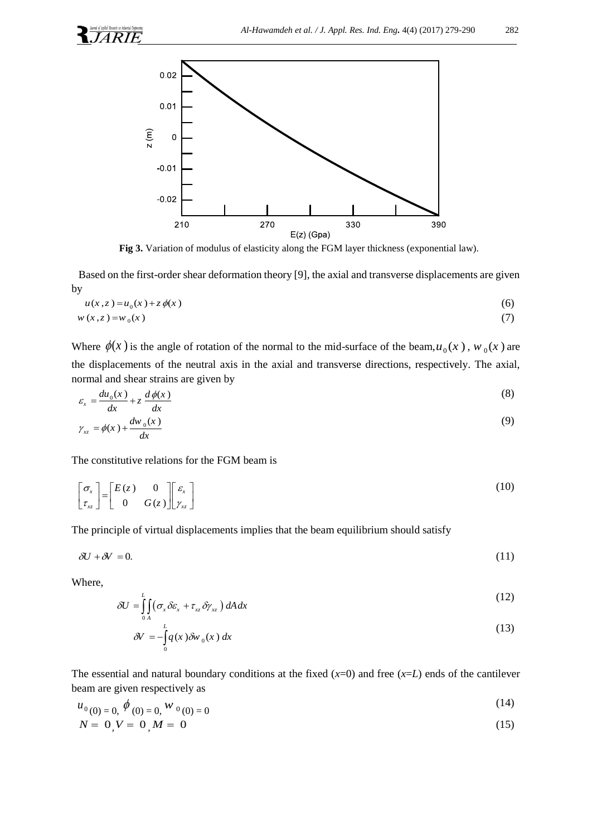

**Fig 3.** Variation of modulus of elasticity along the FGM layer thickness (exponential law).

Based on the first-order shear deformation theory [9], the axial and transverse displacements are given by

$$
u(x, z) = u_0(x) + z \phi(x)
$$
  
\n
$$
w(x, z) = w_0(x)
$$
\n(6)

Where  $\phi(x)$  is the angle of rotation of the normal to the mid-surface of the beam,  $u_0(x)$ ,  $w_0(x)$  are the displacements of the neutral axis in the axial and transverse directions, respectively. The axial, normal and shear strains are given by

$$
\varepsilon_{x} = \frac{du_{0}(x)}{dx} + z \frac{d\phi(x)}{dx}
$$
\n(8)

$$
\gamma_{xz} = \phi(x) + \frac{dw_0(x)}{dx} \tag{9}
$$

The constitutive relations for the FGM beam is

$$
\begin{bmatrix} \sigma_x \\ \tau_{xz} \end{bmatrix} = \begin{bmatrix} E(z) & 0 \\ 0 & G(z) \end{bmatrix} \begin{bmatrix} \varepsilon_x \\ \gamma_{xz} \end{bmatrix}
$$
 (10)

The principle of virtual displacements implies that the beam equilibrium should satisfy

$$
\delta U + \delta V = 0. \tag{11}
$$

Where,

$$
\delta U = \int_{0}^{L} \int_{A} (\sigma_x \delta \varepsilon_x + \tau_{xz} \delta \gamma_{xz}) dA dx
$$
 (12)

$$
\delta V = -\int_{0}^{L} q(x) \delta w_0(x) dx \tag{13}
$$

The essential and natural boundary conditions at the fixed  $(x=0)$  and free  $(x=L)$  ends of the cantilever beam are given respectively as

$$
u_{0}(0) = 0, \phi_{0}(0) = 0, \psi_{0}(0) = 0
$$
\n(14)

$$
N = 0, V = 0, M = 0 \tag{15}
$$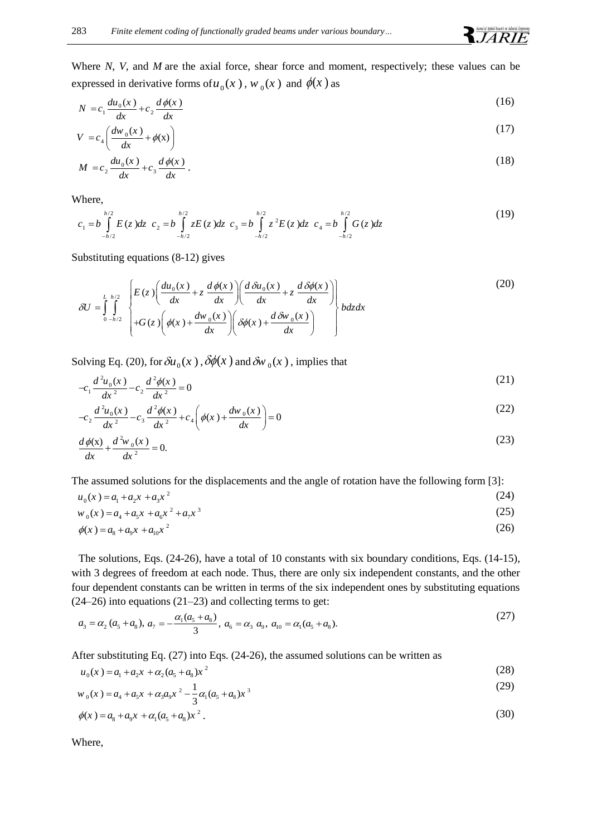Where *N*, *V*, and *M* are the axial force, shear force and moment, respectively; these values can be expressed in derivative forms of  $u_0(x)$ ,  $w_0(x)$  and  $\phi(x)$  as

$$
N = c_1 \frac{du_0(x)}{dx} + c_2 \frac{d\phi(x)}{dx}
$$
\n<sup>(16)</sup>

$$
V = c_4 \left( \frac{dw_0(x)}{dx} + \phi(x) \right) \tag{17}
$$

$$
M = c_2 \frac{du_0(x)}{dx} + c_3 \frac{d\phi(x)}{dx}.
$$
\n(18)

Where,

$$
c_1 = b \int_{-h/2}^{h/2} E(z) dz \ c_2 = b \int_{-h/2}^{h/2} z E(z) dz \ c_3 = b \int_{-h/2}^{h/2} z^2 E(z) dz \ c_4 = b \int_{-h/2}^{h/2} G(z) dz \tag{19}
$$

Substituting equations (8-12) gives

substituting equations (8-12) gives

\n
$$
\delta U = \int_{0-h/2}^{L} \int_{0-h/2}^{h/2} \left\{ E(z) \left( \frac{du_0(x)}{dx} + z \frac{d\phi(x)}{dx} \right) \left( \frac{d\delta u_0(x)}{dx} + z \frac{d\delta\phi(x)}{dx} \right) \right\} d\phi(x) + \frac{dw_0(x)}{dx} \left\{ \phi(x) + \frac{dw_0(x)}{dx} \right\}
$$
\n(20)

Solving Eq. (20), for  $\delta u_0(x)$ ,  $\delta \phi(x)$  and  $\delta w_0(x)$ , implies that

$$
-c_1 \frac{d^2 u_0(x)}{dx^2} - c_2 \frac{d^2 \phi(x)}{dx^2} = 0
$$
\n(21)

$$
-c_2 \frac{d^2 u_0(x)}{dx^2} - c_3 \frac{d^2 \phi(x)}{dx^2} + c_4 \left(\phi(x) + \frac{dw_0(x)}{dx}\right) = 0
$$
\n(22)

$$
\frac{d\phi(x)}{dx} + \frac{d^2w_0(x)}{dx^2} = 0.
$$
\n(23)

The assumed solutions for the displacements and the angle of rotation have the following form [3]:

$$
u_0(x) = a_1 + a_2 x + a_3 x^2 \tag{24}
$$

$$
w_0(x) = a_4 + a_5 x + a_6 x^2 + a_7 x^3
$$
\n(25)

$$
\phi(x) = a_8 + a_9 x + a_{10} x^2 \tag{26}
$$

The solutions, Eqs. (24-26), have a total of 10 constants with six boundary conditions, Eqs. (14-15), with 3 degrees of freedom at each node. Thus, there are only six independent constants, and the other four dependent constants can be written in terms of the six independent ones by substituting equations (24–26) into equations (21–23) and collecting terms to get:

$$
a_3 = \alpha_2 (a_5 + a_8), a_7 = -\frac{\alpha_1 (a_5 + a_8)}{3}, a_6 = \alpha_3 a_9, a_{10} = \alpha_1 (a_5 + a_8).
$$
\n(27)

After substituting Eq. (27) into Eqs. (24-26), the assumed solutions can be written as

$$
u_0(x) = a_1 + a_2 x + \alpha_2 (a_5 + a_8) x^2
$$
\n(28)

$$
w_0(x) = a_4 + a_5x + \alpha_3 a_9 x^2 - \frac{1}{3} \alpha_1 (a_5 + a_8) x^3
$$
 (29)

$$
\phi(x) = a_8 + a_9 x + \alpha_1 (a_5 + a_8) x^2 \,. \tag{30}
$$

Where,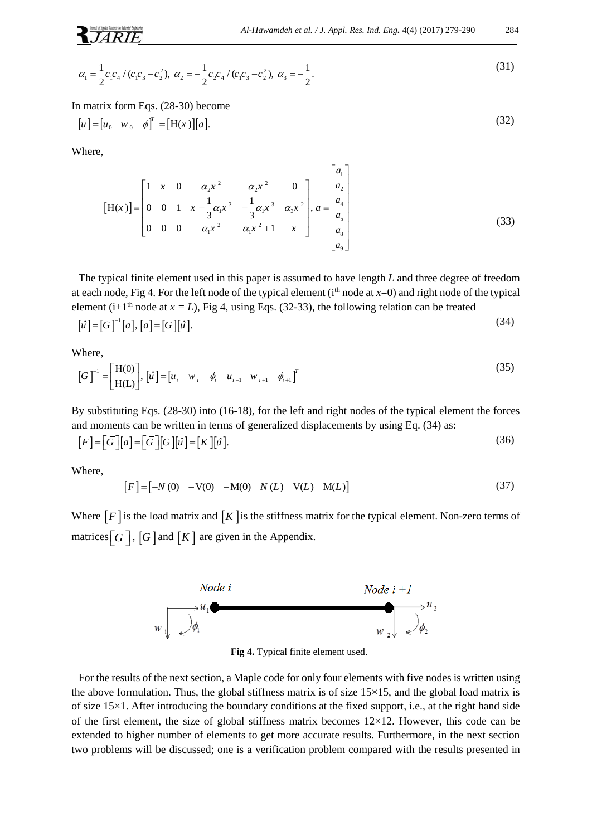$$
\alpha_1 = \frac{1}{2} c_1 c_4 / (c_1 c_3 - c_2^2), \ \alpha_2 = -\frac{1}{2} c_2 c_4 / (c_1 c_3 - c_2^2), \ \alpha_3 = -\frac{1}{2}.
$$
\n<sup>(31)</sup>

In matrix form Eqs. (28-30) become

$$
[u] = [u_0 \quad w_0 \quad \phi]^T = [H(x)][a]. \tag{32}
$$

Where,

$$
\begin{bmatrix} H(x) \end{bmatrix} = \begin{bmatrix} 1 & x & 0 & a_2x^2 & a_2x^2 & 0 \\ 0 & 0 & 1 & x - \frac{1}{3}a_1x^3 & -\frac{1}{3}a_1x^3 & a_3x^2 \\ 0 & 0 & 0 & a_1x^2 & a_1x^2 + 1 & x \end{bmatrix}, a = \begin{bmatrix} a_1 \\ a_2 \\ a_4 \\ a_5 \\ a_8 \\ a_9 \end{bmatrix},
$$
 (33)

The typical finite element used in this paper is assumed to have length *L* and three degree of freedom at each node, Fig 4. For the left node of the typical element ( $i<sup>th</sup>$  node at  $x=0$ ) and right node of the typical element (i+1<sup>th</sup> node at  $x = L$ ), Fig 4, using Eqs. (32-33), the following relation can be treated

$$
[\hat{u}] = [G]^{-1}[a], [\hat{a}] = [G][\hat{u}].
$$
\n(34)

Where,

$$
\begin{bmatrix} G \end{bmatrix}^{-1} = \begin{bmatrix} H(0) \\ H(L) \end{bmatrix}, \begin{bmatrix} \hat{u} \end{bmatrix} = \begin{bmatrix} u_i & w_i & \phi_i & u_{i+1} & w_{i+1} & \phi_{i+1} \end{bmatrix}^T
$$
\n(35)

By substituting Eqs. (28-30) into (16-18), for the left and right nodes of the typical element the forces

and moments can be written in terms of generalized displacements by using Eq. (34) as:  
\n
$$
[F] = [\bar{G}][a] = [\bar{G}][G][\hat{u}] = [K][\hat{u}].
$$
\n(36)

Where,

$$
[F] = [-N(0) - V(0) - M(0) N(L) V(L) M(L)]
$$
\n(37)

Where  $[F]$  is the load matrix and  $[K]$  is the stiffness matrix for the typical element. Non-zero terms of matrices  $\left[\overline{G}\right]$ ,  $\left[G\right]$  and  $\left[K\right]$  are given in the Appendix.



**Fig 4.** Typical finite element used.

For the results of the next section, a Maple code for only four elements with five nodes is written using the above formulation. Thus, the global stiffness matrix is of size  $15\times15$ , and the global load matrix is of size 15×1. After introducing the boundary conditions at the fixed support, i.e., at the right hand side of the first element, the size of global stiffness matrix becomes 12×12. However, this code can be extended to higher number of elements to get more accurate results. Furthermore, in the next section two problems will be discussed; one is a verification problem compared with the results presented in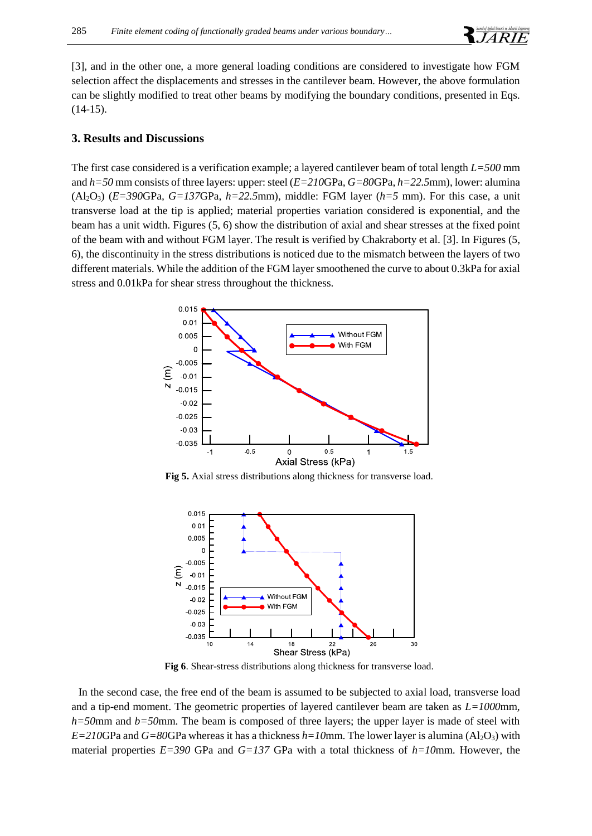

[3], and in the other one, a more general loading conditions are considered to investigate how FGM selection affect the displacements and stresses in the cantilever beam. However, the above formulation can be slightly modified to treat other beams by modifying the boundary conditions, presented in Eqs.  $(14-15)$ .

#### **3. Results and Discussions**

The first case considered is a verification example; a layered cantilever beam of total length *L=500* mm and *h=50* mm consists of three layers: upper: steel (*E=210*GPa*, G=80*GPa, *h=22.5*mm), lower: alumina (Al2O3) (*E=390*GPa*, G=137*GPa, *h=22.5*mm), middle: FGM layer (*h=5* mm). For this case, a unit transverse load at the tip is applied; material properties variation considered is exponential, and the beam has a unit width. Figures (5, 6) show the distribution of axial and shear stresses at the fixed point of the beam with and without FGM layer. The result is verified by Chakraborty et al. [3]. In Figures (5, 6), the discontinuity in the stress distributions is noticed due to the mismatch between the layers of two different materials. While the addition of the FGM layer smoothened the curve to about 0.3kPa for axial stress and 0.01kPa for shear stress throughout the thickness.



**Fig 5.** Axial stress distributions along thickness for transverse load.



**Fig 6**. Shear-stress distributions along thickness for transverse load.

In the second case, the free end of the beam is assumed to be subjected to axial load, transverse load and a tip-end moment. The geometric properties of layered cantilever beam are taken as *L=1000*mm*, h=50*mm and *b=50*mm. The beam is composed of three layers; the upper layer is made of steel with *E=210*GPa and *G=80*GPa whereas it has a thickness *h=10*mm. The lower layer is alumina (Al2O3) with material properties *E=390* GPa and *G=137* GPa with a total thickness of *h=10*mm. However, the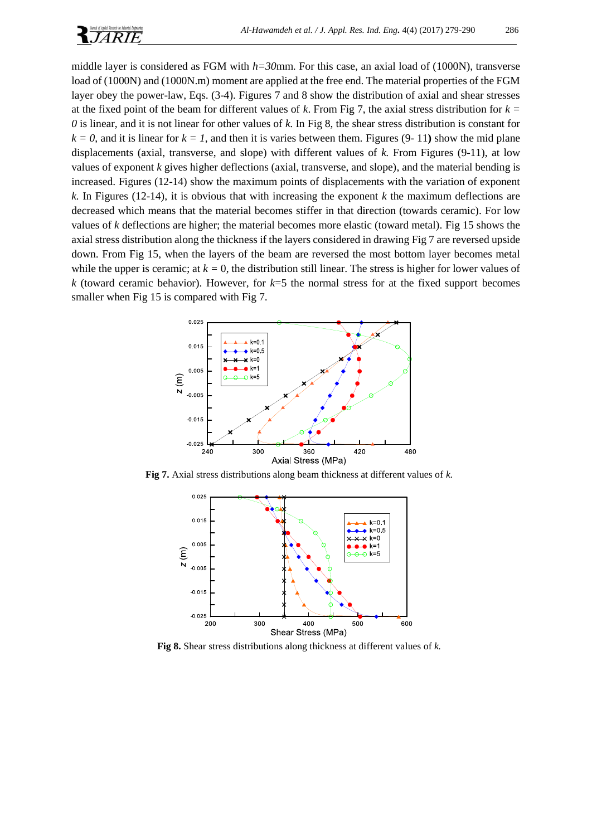

middle layer is considered as FGM with *h=30*mm. For this case, an axial load of (1000N), transverse load of (1000N) and (1000N.m) moment are applied at the free end. The material properties of the FGM layer obey the power-law, Eqs. (3-4). Figures 7 and 8 show the distribution of axial and shear stresses at the fixed point of the beam for different values of *k*. From Fig 7, the axial stress distribution for *k = 0* is linear, and it is not linear for other values of *k.* In Fig 8, the shear stress distribution is constant for  $k = 0$ , and it is linear for  $k = 1$ , and then it is varies between them. Figures (9-11) show the mid plane displacements (axial, transverse, and slope) with different values of *k.* From Figures (9-11), at low values of exponent *k* gives higher deflections (axial, transverse, and slope), and the material bending is increased. Figures (12-14) show the maximum points of displacements with the variation of exponent *k.* In Figures (12-14), it is obvious that with increasing the exponent *k* the maximum deflections are decreased which means that the material becomes stiffer in that direction (towards ceramic). For low values of *k* deflections are higher; the material becomes more elastic (toward metal). Fig 15 shows the axial stress distribution along the thickness if the layers considered in drawing Fig 7 are reversed upside down. From Fig 15, when the layers of the beam are reversed the most bottom layer becomes metal while the upper is ceramic; at  $k = 0$ , the distribution still linear. The stress is higher for lower values of *k* (toward ceramic behavior). However, for *k*=5 the normal stress for at the fixed support becomes smaller when Fig 15 is compared with Fig 7.



**Fig 7.** Axial stress distributions along beam thickness at different values of *k.*



**Fig 8.** Shear stress distributions along thickness at different values of *k.*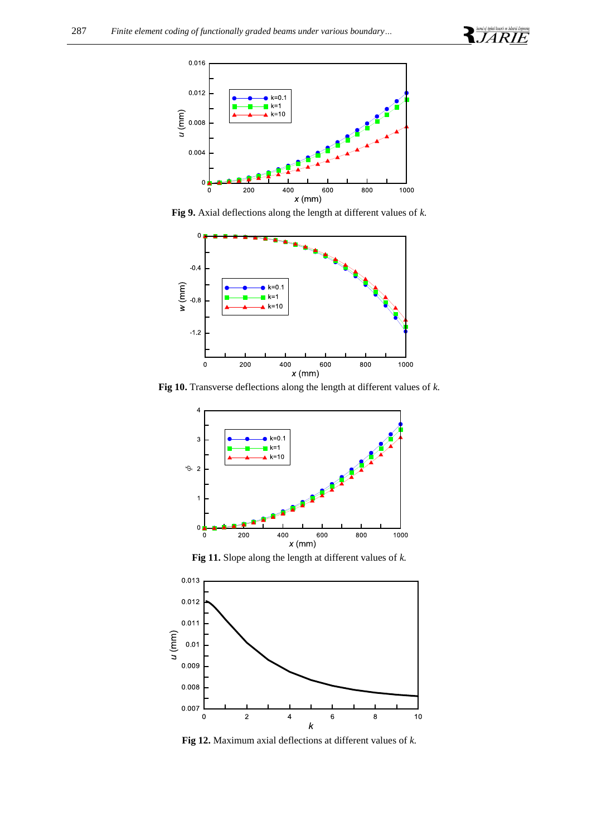



**Fig 9.** Axial deflections along the length at different values of *k.*



**Fig 10.** Transverse deflections along the length at different values of *k.*



**Fig 11.** Slope along the length at different values of *k.*



**Fig 12.** Maximum axial deflections at different values of *k.*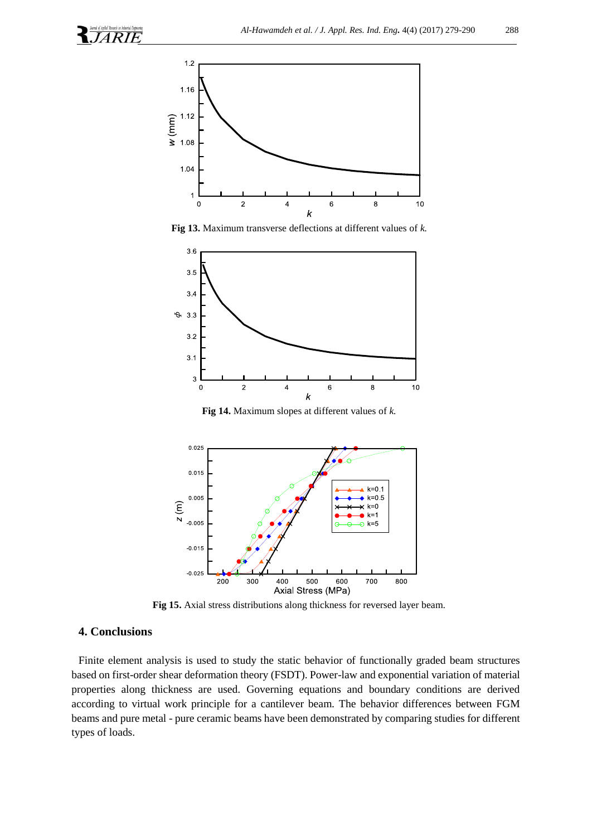

**Fig 13.** Maximum transverse deflections at different values of *k.*



**Fig 14.** Maximum slopes at different values of *k.*



**Fig 15.** Axial stress distributions along thickness for reversed layer beam*.*

#### **4. Conclusions**

Finite element analysis is used to study the static behavior of functionally graded beam structures based on first-order shear deformation theory (FSDT). Power-law and exponential variation of material properties along thickness are used. Governing equations and boundary conditions are derived according to virtual work principle for a cantilever beam. The behavior differences between FGM beams and pure metal - pure ceramic beams have been demonstrated by comparing studies for different types of loads.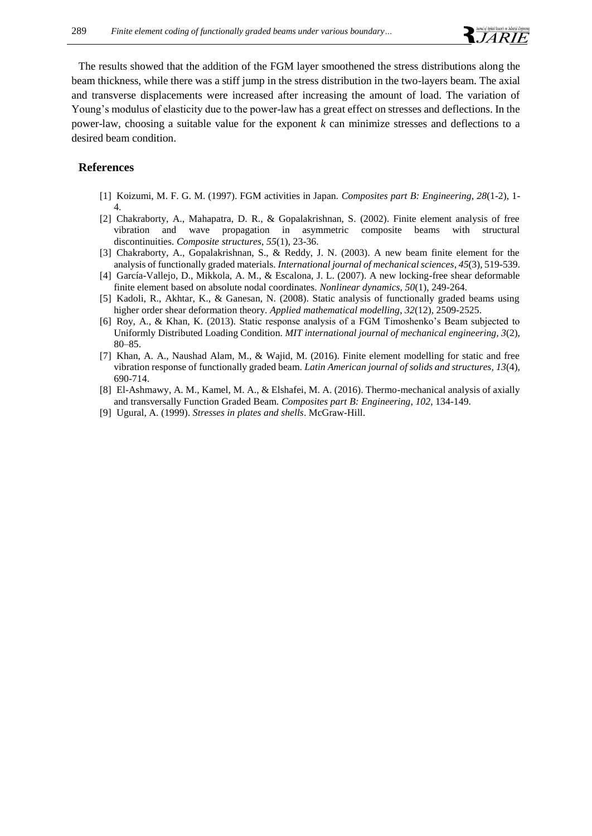The results showed that the addition of the FGM layer smoothened the stress distributions along the beam thickness, while there was a stiff jump in the stress distribution in the two-layers beam. The axial and transverse displacements were increased after increasing the amount of load. The variation of Young's modulus of elasticity due to the power-law has a great effect on stresses and deflections. In the power-law, choosing a suitable value for the exponent *k* can minimize stresses and deflections to a desired beam condition.

#### **References**

- [1] Koizumi, M. F. G. M. (1997). FGM activities in Japan. *Composites part B: Engineering*, *28*(1-2), 1- 4.
- [2] Chakraborty, A., Mahapatra, D. R., & Gopalakrishnan, S. (2002). Finite element analysis of free vibration and wave propagation in asymmetric composite beams with structural discontinuities. *Composite structures*, *55*(1), 23-36.
- [3] Chakraborty, A., Gopalakrishnan, S., & Reddy, J. N. (2003). A new beam finite element for the analysis of functionally graded materials. *International journal of mechanical sciences*, *45*(3), 519-539.
- [4] García-Vallejo, D., Mikkola, A. M., & Escalona, J. L. (2007). A new locking-free shear deformable finite element based on absolute nodal coordinates. *Nonlinear dynamics*, *50*(1), 249-264.
- [5] Kadoli, R., Akhtar, K., & Ganesan, N. (2008). Static analysis of functionally graded beams using higher order shear deformation theory. *Applied mathematical modelling*, *32*(12), 2509-2525.
- [6] Roy, A., & Khan, K. (2013). Static response analysis of a FGM Timoshenko's Beam subjected to Uniformly Distributed Loading Condition. *MIT international journal of mechanical engineering, 3*(2), 80–85.
- [7] Khan, A. A., Naushad Alam, M., & Wajid, M. (2016). Finite element modelling for static and free vibration response of functionally graded beam. *Latin American journal of solids and structures*, *13*(4), 690-714.
- [8] El-Ashmawy, A. M., Kamel, M. A., & Elshafei, M. A. (2016). Thermo-mechanical analysis of axially and transversally Function Graded Beam. *Composites part B: Engineering*, *102*, 134-149.
- [9] Ugural, A. (1999). *Stresses in plates and shells*. McGraw-Hill.